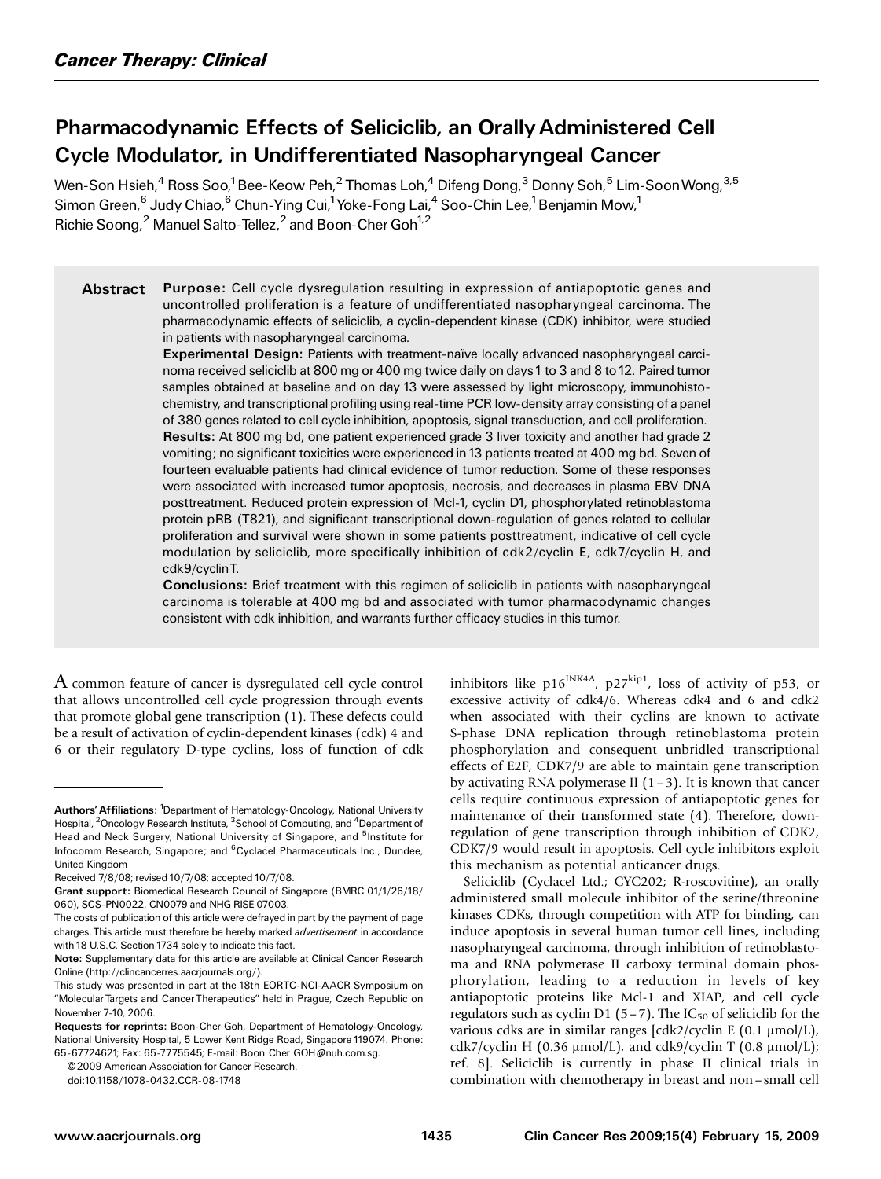# Pharmacodynamic Effects of Seliciclib, an Orally Administered Cell Cycle Modulator, in Undifferentiated Nasopharyngeal Cancer

Wen-Son Hsieh, $^4$  Ross Soo, $^1$ Bee-Keow Peh, $^2$  Thomas Loh, $^4$  Difeng Dong, $^3$  Donny Soh, $^5$  Lim-Soon Wong, $^{3,5}$ Simon Green,<sup>6</sup> Judy Chiao,<sup>6</sup> Chun-Ying Cui,<sup>1</sup> Yoke-Fong Lai,<sup>4</sup> Soo-Chin Lee,<sup>1</sup> Benjamin Mow,<sup>1</sup> Richie Soong, $^2$  Manuel Salto-Tellez, $^2$  and Boon-Cher Goh $^{1,2}$ 

Abstract Purpose: Cell cycle dysregulation resulting in expression of antiapoptotic genes and uncontrolled proliferation is a feature of undifferentiated nasopharyngeal carcinoma. The pharmacodynamic effects of seliciclib, a cyclin-dependent kinase (CDK) inhibitor, were studied in patients with nasopharyngeal carcinoma.

> Experimental Design: Patients with treatment-naïve locally advanced nasopharyngeal carcinoma received seliciclib at 800 mg or 400 mg twice daily on days1 to 3 and 8 to 12. Paired tumor samples obtained at baseline and on day 13 were assessed by light microscopy, immunohistochemistry, and transcriptional profiling using real-time PCR low-density array consisting of a panel of 380 genes related to cell cycle inhibition, apoptosis, signal transduction, and cell proliferation. Results: At 800 mg bd, one patient experienced grade 3 liver toxicity and another had grade 2 vomiting; no significant toxicities were experienced in 13 patients treated at 400 mg bd. Seven of fourteen evaluable patients had clinical evidence of tumor reduction. Some of these responses were associated with increased tumor apoptosis, necrosis, and decreases in plasma EBV DNA posttreatment. Reduced protein expression of Mcl-1, cyclin D1, phosphorylated retinoblastoma protein pRB (T821), and significant transcriptional down-regulation of genes related to cellular proliferation and survival were shown in some patients posttreatment, indicative of cell cycle modulation by seliciclib, more specifically inhibition of cdk2/cyclin E, cdk7/cyclin H, and cdk9/cyclinT.

> Conclusions: Brief treatment with this regimen of seliciclib in patients with nasopharyngeal carcinoma is tolerable at 400 mg bd and associated with tumor pharmacodynamic changes consistent with cdk inhibition, and warrants further efficacy studies in this tumor.

A common feature of cancer is dysregulated cell cycle control that allows uncontrolled cell cycle progression through events that promote global gene transcription (1). These defects could be a result of activation of cyclin-dependent kinases (cdk) 4 and 6 or their regulatory D-type cyclins, loss of function of cdk

© 2009 American Association for Cancer Research.

inhibitors like  $p16^{INK4A}$ ,  $p27^{kip1}$ , loss of activity of p53, or excessive activity of cdk4/6. Whereas cdk4 and 6 and cdk2 when associated with their cyclins are known to activate S-phase DNA replication through retinoblastoma protein phosphorylation and consequent unbridled transcriptional effects of E2F, CDK7/9 are able to maintain gene transcription by activating RNA polymerase II  $(1-3)$ . It is known that cancer cells require continuous expression of antiapoptotic genes for maintenance of their transformed state (4). Therefore, downregulation of gene transcription through inhibition of CDK2, CDK7/9 would result in apoptosis. Cell cycle inhibitors exploit this mechanism as potential anticancer drugs.

Seliciclib (Cyclacel Ltd.; CYC202; R-roscovitine), an orally administered small molecule inhibitor of the serine/threonine kinases CDKs, through competition with ATP for binding, can induce apoptosis in several human tumor cell lines, including nasopharyngeal carcinoma, through inhibition of retinoblastoma and RNA polymerase II carboxy terminal domain phosphorylation, leading to a reduction in levels of key antiapoptotic proteins like Mcl-1 and XIAP, and cell cycle regulators such as cyclin D1 (5 – 7). The  $IC_{50}$  of seliciclib for the various cdks are in similar ranges  $[cdk2/cyclin E (0.1 \mu mol/L)]$ cdk7/cyclin H (0.36  $\mu$ mol/L), and cdk9/cyclin T (0.8  $\mu$ mol/L); ref. 8]. Seliciclib is currently in phase II clinical trials in combination with chemotherapy in breast and non – small cell

Authors' Affiliations: <sup>1</sup>Department of Hematology-Oncology, National University Hospital, <sup>2</sup>Oncology Research Institute, <sup>3</sup>School of Computing, and <sup>4</sup>Department of Head and Neck Surgery, National University of Singapore, and <sup>5</sup>Institute for Infocomm Research, Singapore; and <sup>6</sup>Cyclacel Pharmaceuticals Inc., Dundee, United Kingdom

Received 7/8/08; revised 10/7/08; accepted 10/7/08.

Grant support: Biomedical Research Council of Singapore (BMRC 01/1/26/18/ 060), SCS-PN0022, CN0079 and NHG RISE 07003.

The costs of publication of this article were defrayed in part by the payment of page charges. This article must therefore be hereby marked *advertisement* in accordance with 18 U.S.C. Section 1734 solely to indicate this fact.

Note: Supplementary data for this article are available at Clinical Cancer Research Online (http://clincancerres.aacrjournals.org/).

This study was presented in part at the 18th EORTC-NCI-AACR Symposium on ''Molecular Targets and Cancer Therapeutics'' held in Prague, Czech Republic on November 7-10, 2006.

Requests for reprints: Boon-Cher Goh, Department of Hematology-Oncology, National University Hospital, 5 Lower Kent Ridge Road, Singapore 119074. Phone: 65-67724621; Fax: 65-7775545; E-mail: Boon\_Cher\_GOH@nuh.com.sg.

doi:10.1158/1078-0432.CCR-08-1748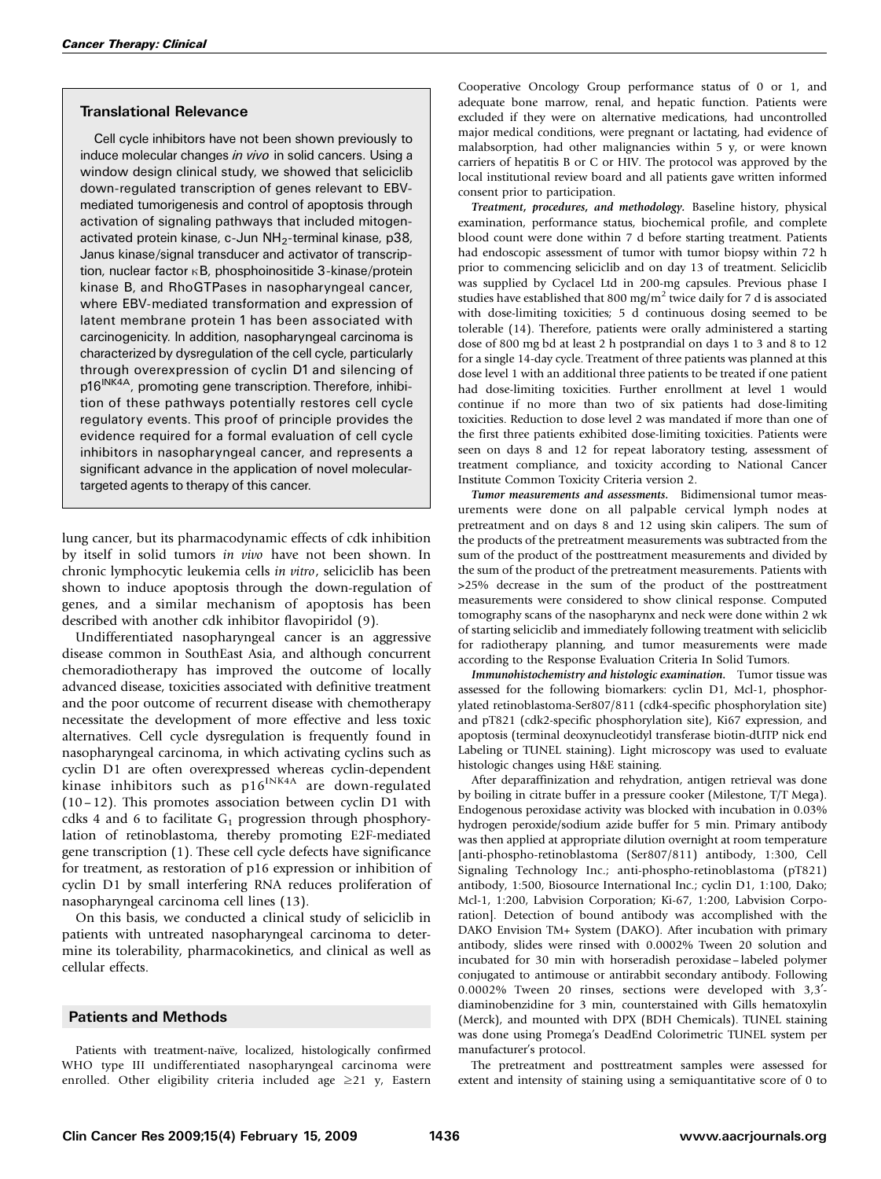# Translational Relevance

Cell cycle inhibitors have not been shown previously to induce molecular changes in vivo in solid cancers. Using a window design clinical study, we showed that seliciclib down-regulated transcription of genes relevant to EBVmediated tumorigenesis and control of apoptosis through activation of signaling pathways that included mitogenactivated protein kinase, c-Jun NH<sub>2</sub>-terminal kinase, p38, Janus kinase/signal transducer and activator of transcription, nuclear factor  $\kappa$ B, phosphoinositide 3-kinase/protein kinase B, and RhoGTPases in nasopharyngeal cancer, where EBV-mediated transformation and expression of latent membrane protein 1 has been associated with carcinogenicity. In addition, nasopharyngeal carcinoma is characterized by dysregulation of the cell cycle, particularly through overexpression of cyclin D1 and silencing of p16<sup>INK4A</sup>, promoting gene transcription. Therefore, inhibition of these pathways potentially restores cell cycle regulatory events. This proof of principle provides the evidence required for a formal evaluation of cell cycle inhibitors in nasopharyngeal cancer, and represents a significant advance in the application of novel moleculartargeted agents to therapy of this cancer.

lung cancer, but its pharmacodynamic effects of cdk inhibition by itself in solid tumors in vivo have not been shown. In chronic lymphocytic leukemia cells in vitro, seliciclib has been shown to induce apoptosis through the down-regulation of genes, and a similar mechanism of apoptosis has been described with another cdk inhibitor flavopiridol (9).

Undifferentiated nasopharyngeal cancer is an aggressive disease common in SouthEast Asia, and although concurrent chemoradiotherapy has improved the outcome of locally advanced disease, toxicities associated with definitive treatment and the poor outcome of recurrent disease with chemotherapy necessitate the development of more effective and less toxic alternatives. Cell cycle dysregulation is frequently found in nasopharyngeal carcinoma, in which activating cyclins such as cyclin D1 are often overexpressed whereas cyclin-dependent kinase inhibitors such as  $p16^{INK4A}$  are down-regulated (10– 12). This promotes association between cyclin D1 with cdks 4 and 6 to facilitate  $G_1$  progression through phosphorylation of retinoblastoma, thereby promoting E2F-mediated gene transcription (1). These cell cycle defects have significance for treatment, as restoration of p16 expression or inhibition of cyclin D1 by small interfering RNA reduces proliferation of nasopharyngeal carcinoma cell lines (13).

On this basis, we conducted a clinical study of seliciclib in patients with untreated nasopharyngeal carcinoma to determine its tolerability, pharmacokinetics, and clinical as well as cellular effects.

### Patients and Methods

Patients with treatment-naïve, localized, histologically confirmed WHO type III undifferentiated nasopharyngeal carcinoma were enrolled. Other eligibility criteria included age  $\geq 21$  y, Eastern

Cooperative Oncology Group performance status of 0 or 1, and adequate bone marrow, renal, and hepatic function. Patients were excluded if they were on alternative medications, had uncontrolled major medical conditions, were pregnant or lactating, had evidence of malabsorption, had other malignancies within 5 y, or were known carriers of hepatitis B or C or HIV. The protocol was approved by the local institutional review board and all patients gave written informed consent prior to participation.

Treatment, procedures, and methodology. Baseline history, physical examination, performance status, biochemical profile, and complete blood count were done within 7 d before starting treatment. Patients had endoscopic assessment of tumor with tumor biopsy within 72 h prior to commencing seliciclib and on day 13 of treatment. Seliciclib was supplied by Cyclacel Ltd in 200-mg capsules. Previous phase I studies have established that 800 mg/m<sup>2</sup> twice daily for 7 d is associated with dose-limiting toxicities; 5 d continuous dosing seemed to be tolerable (14). Therefore, patients were orally administered a starting dose of 800 mg bd at least 2 h postprandial on days 1 to 3 and 8 to 12 for a single 14-day cycle. Treatment of three patients was planned at this dose level 1 with an additional three patients to be treated if one patient had dose-limiting toxicities. Further enrollment at level 1 would continue if no more than two of six patients had dose-limiting toxicities. Reduction to dose level 2 was mandated if more than one of the first three patients exhibited dose-limiting toxicities. Patients were seen on days 8 and 12 for repeat laboratory testing, assessment of treatment compliance, and toxicity according to National Cancer Institute Common Toxicity Criteria version 2.

Tumor measurements and assessments. Bidimensional tumor measurements were done on all palpable cervical lymph nodes at pretreatment and on days 8 and 12 using skin calipers. The sum of the products of the pretreatment measurements was subtracted from the sum of the product of the posttreatment measurements and divided by the sum of the product of the pretreatment measurements. Patients with >25% decrease in the sum of the product of the posttreatment measurements were considered to show clinical response. Computed tomography scans of the nasopharynx and neck were done within 2 wk of starting seliciclib and immediately following treatment with seliciclib for radiotherapy planning, and tumor measurements were made according to the Response Evaluation Criteria In Solid Tumors.

Immunohistochemistry and histologic examination. Tumor tissue was assessed for the following biomarkers: cyclin D1, Mcl-1, phosphorylated retinoblastoma-Ser807/811 (cdk4-specific phosphorylation site) and pT821 (cdk2-specific phosphorylation site), Ki67 expression, and apoptosis (terminal deoxynucleotidyl transferase biotin-dUTP nick end Labeling or TUNEL staining). Light microscopy was used to evaluate histologic changes using H&E staining.

After deparaffinization and rehydration, antigen retrieval was done by boiling in citrate buffer in a pressure cooker (Milestone, T/T Mega). Endogenous peroxidase activity was blocked with incubation in 0.03% hydrogen peroxide/sodium azide buffer for 5 min. Primary antibody was then applied at appropriate dilution overnight at room temperature [anti-phospho-retinoblastoma (Ser807/811) antibody, 1:300, Cell Signaling Technology Inc.; anti-phospho-retinoblastoma (pT821) antibody, 1:500, Biosource International Inc.; cyclin D1, 1:100, Dako; Mcl-1, 1:200, Labvision Corporation; Ki-67, 1:200, Labvision Corporation]. Detection of bound antibody was accomplished with the DAKO Envision TM+ System (DAKO). After incubation with primary antibody, slides were rinsed with 0.0002% Tween 20 solution and incubated for 30 min with horseradish peroxidase –labeled polymer conjugated to antimouse or antirabbit secondary antibody. Following 0.0002% Tween 20 rinses, sections were developed with  $3.3'$ diaminobenzidine for 3 min, counterstained with Gills hematoxylin (Merck), and mounted with DPX (BDH Chemicals). TUNEL staining was done using Promega's DeadEnd Colorimetric TUNEL system per manufacturer's protocol.

The pretreatment and posttreatment samples were assessed for extent and intensity of staining using a semiquantitative score of 0 to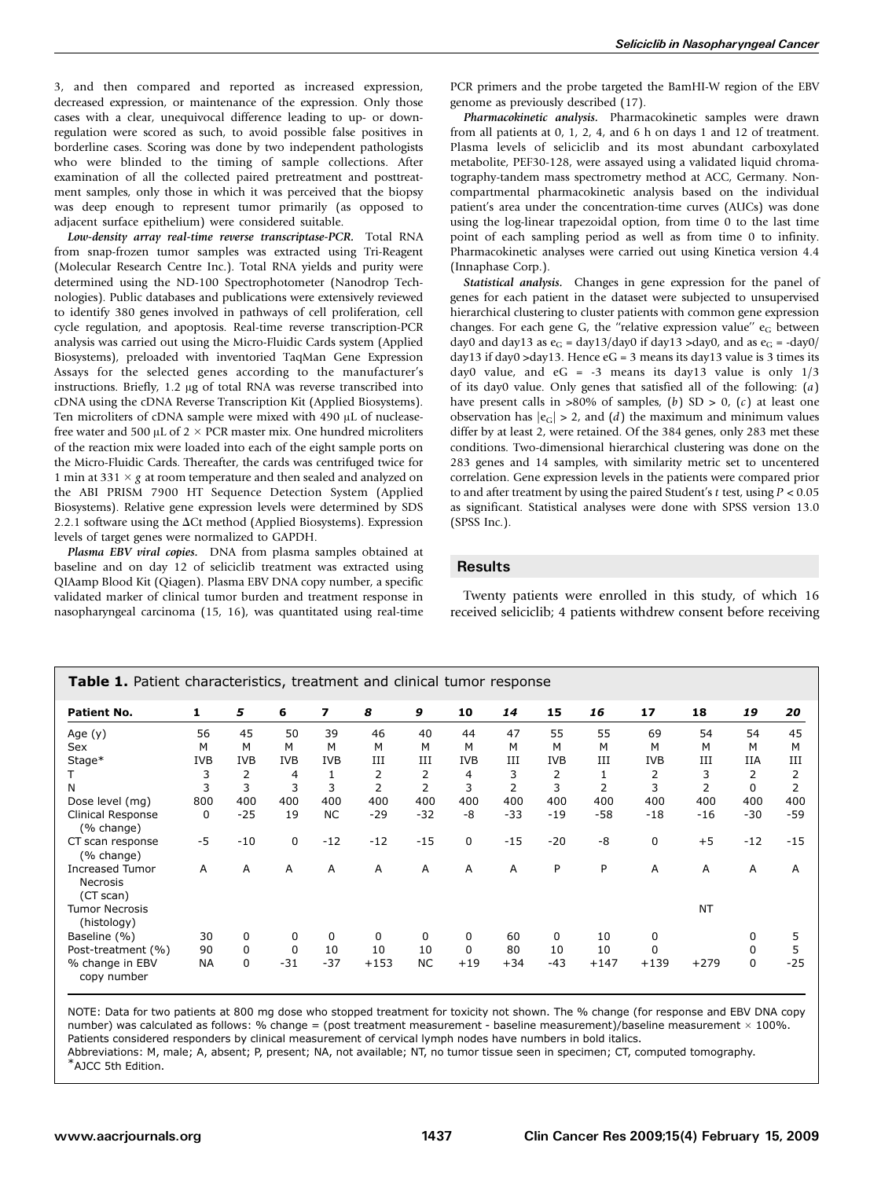3, and then compared and reported as increased expression, decreased expression, or maintenance of the expression. Only those cases with a clear, unequivocal difference leading to up- or downregulation were scored as such, to avoid possible false positives in borderline cases. Scoring was done by two independent pathologists who were blinded to the timing of sample collections. After examination of all the collected paired pretreatment and posttreatment samples, only those in which it was perceived that the biopsy was deep enough to represent tumor primarily (as opposed to adjacent surface epithelium) were considered suitable.

Low-density array real-time reverse transcriptase-PCR. Total RNA from snap-frozen tumor samples was extracted using Tri-Reagent (Molecular Research Centre Inc.). Total RNA yields and purity were determined using the ND-100 Spectrophotometer (Nanodrop Technologies). Public databases and publications were extensively reviewed to identify 380 genes involved in pathways of cell proliferation, cell cycle regulation, and apoptosis. Real-time reverse transcription-PCR analysis was carried out using the Micro-Fluidic Cards system (Applied Biosystems), preloaded with inventoried TaqMan Gene Expression Assays for the selected genes according to the manufacturer's instructions. Briefly, 1.2 µg of total RNA was reverse transcribed into cDNA using the cDNA Reverse Transcription Kit (Applied Biosystems). Ten microliters of cDNA sample were mixed with 490 µL of nucleasefree water and 500  $\mu$ L of 2  $\times$  PCR master mix. One hundred microliters of the reaction mix were loaded into each of the eight sample ports on the Micro-Fluidic Cards. Thereafter, the cards was centrifuged twice for 1 min at 331  $\times$  g at room temperature and then sealed and analyzed on the ABI PRISM 7900 HT Sequence Detection System (Applied Biosystems). Relative gene expression levels were determined by SDS 2.2.1 software using the  $\Delta$ Ct method (Applied Biosystems). Expression levels of target genes were normalized to GAPDH.

Plasma EBV viral copies. DNA from plasma samples obtained at baseline and on day 12 of seliciclib treatment was extracted using QIAamp Blood Kit (Qiagen). Plasma EBV DNA copy number, a specific validated marker of clinical tumor burden and treatment response in nasopharyngeal carcinoma (15, 16), was quantitated using real-time PCR primers and the probe targeted the BamHI-W region of the EBV genome as previously described (17).

Pharmacokinetic analysis. Pharmacokinetic samples were drawn from all patients at 0, 1, 2, 4, and 6 h on days 1 and 12 of treatment. Plasma levels of seliciclib and its most abundant carboxylated metabolite, PEF30-128, were assayed using a validated liquid chromatography-tandem mass spectrometry method at ACC, Germany. Noncompartmental pharmacokinetic analysis based on the individual patient's area under the concentration-time curves (AUCs) was done using the log-linear trapezoidal option, from time 0 to the last time point of each sampling period as well as from time 0 to infinity. Pharmacokinetic analyses were carried out using Kinetica version 4.4 (Innaphase Corp.).

Statistical analysis. Changes in gene expression for the panel of genes for each patient in the dataset were subjected to unsupervised hierarchical clustering to cluster patients with common gene expression changes. For each gene G, the "relative expression value"  $e_G$  between day0 and day13 as  $e_G = \frac{day13}{day0}$  if day13 >day0, and as  $e_G = -\frac{day0}{}$ day13 if day0 >day13. Hence  $eG = 3$  means its day13 value is 3 times its day0 value, and  $eG = -3$  means its day13 value is only  $1/3$ of its day0 value. Only genes that satisfied all of the following:  $(a)$ have present calls in >80% of samples, (b) SD > 0, (c) at least one observation has  $|e_G| > 2$ , and  $(d)$  the maximum and minimum values differ by at least 2, were retained. Of the 384 genes, only 283 met these conditions. Two-dimensional hierarchical clustering was done on the 283 genes and 14 samples, with similarity metric set to uncentered correlation. Gene expression levels in the patients were compared prior to and after treatment by using the paired Student's  $t$  test, using  $P < 0.05$ as significant. Statistical analyses were done with SPSS version 13.0 (SPSS Inc.).

# **Results**

Twenty patients were enrolled in this study, of which 16 received seliciclib; 4 patients withdrew consent before receiving

| <b>Table 1.</b> Patient characteristics, treatment and clinical tumor response |            |                |                |            |                |                |             |                |            |                |             |           |            |                |
|--------------------------------------------------------------------------------|------------|----------------|----------------|------------|----------------|----------------|-------------|----------------|------------|----------------|-------------|-----------|------------|----------------|
| <b>Patient No.</b>                                                             | 1          | 5              | 6              | 7          | 8              | 9              | 10          | 14             | 15         | 16             | 17          | 18        | 19         | 20             |
| Age $(y)$                                                                      | 56         | 45             | 50             | 39         | 46             | 40             | 44          | 47             | 55         | 55             | 69          | 54        | 54         | 45             |
| Sex                                                                            | М          | M              | M              | м          | M              | M              | M           | M              | M          | м              | м           | М         | M          | M              |
| Stage*                                                                         | <b>IVB</b> | <b>IVB</b>     | <b>IVB</b>     | <b>IVB</b> | III            | III            | <b>IVB</b>  | III            | <b>IVB</b> | III            | <b>IVB</b>  | III       | <b>IIA</b> | III            |
|                                                                                | 3          | $\overline{2}$ | $\overline{4}$ | 1          | 2              | 2              | 4           | 3              | 2          |                | 2           | 3         | 2          | 2              |
| N                                                                              | 3          | 3              | 3              | 3          | $\overline{2}$ | $\overline{2}$ | 3           | $\overline{2}$ | 3          | $\overline{2}$ | 3           | 2         | 0          | $\overline{2}$ |
| Dose level (mg)                                                                | 800        | 400            | 400            | 400        | 400            | 400            | 400         | 400            | 400        | 400            | 400         | 400       | 400        | 400            |
| Clinical Response<br>(% change)                                                | 0          | $-25$          | 19             | <b>NC</b>  | $-29$          | $-32$          | -8          | $-33$          | $-19$      | $-58$          | $-18$       | $-16$     | $-30$      | $-59$          |
| CT scan response<br>(% change)                                                 | $-5$       | $-10$          | $\mathbf 0$    | $-12$      | $-12$          | $-15$          | $\mathbf 0$ | $-15$          | $-20$      | $-8$           | $\mathbf 0$ | $+5$      | $-12$      | $-15$          |
| <b>Increased Tumor</b><br><b>Necrosis</b><br>(CT scan)                         | A          | A              | A              | A          | A              | A              | A           | A              | P          | P              | A           | A         | A          | A              |
| <b>Tumor Necrosis</b><br>(histology)                                           |            |                |                |            |                |                |             |                |            |                |             | <b>NT</b> |            |                |
| Baseline (%)                                                                   | 30         | 0              | $\Omega$       | $\Omega$   | $\Omega$       | $\Omega$       | 0           | 60             | $\Omega$   | 10             | $\Omega$    |           | $\Omega$   | 5              |
| Post-treatment (%)                                                             | 90         | 0              | $\mathbf 0$    | 10         | 10             | 10             | $\mathbf 0$ | 80             | 10         | 10             | $\Omega$    |           | 0          | 5              |
| % change in EBV<br>copy number                                                 | <b>NA</b>  | 0              | $-31$          | $-37$      | $+153$         | <b>NC</b>      | $+19$       | $+34$          | -43        | $+147$         | $+139$      | $+279$    | 0          | $-25$          |

NOTE: Data for two patients at 800 mg dose who stopped treatment for toxicity not shown. The % change (for response and EBV DNA copy number) was calculated as follows: % change = (post treatment measurement - baseline measurement)/baseline measurement  $\times$  100%.

Patients considered responders by clinical measurement of cervical lymph nodes have numbers in bold italics.

Abbreviations: M, male; A, absent; P, present; NA, not available; NT, no tumor tissue seen in specimen; CT, computed tomography. \*AJCC 5th Edition.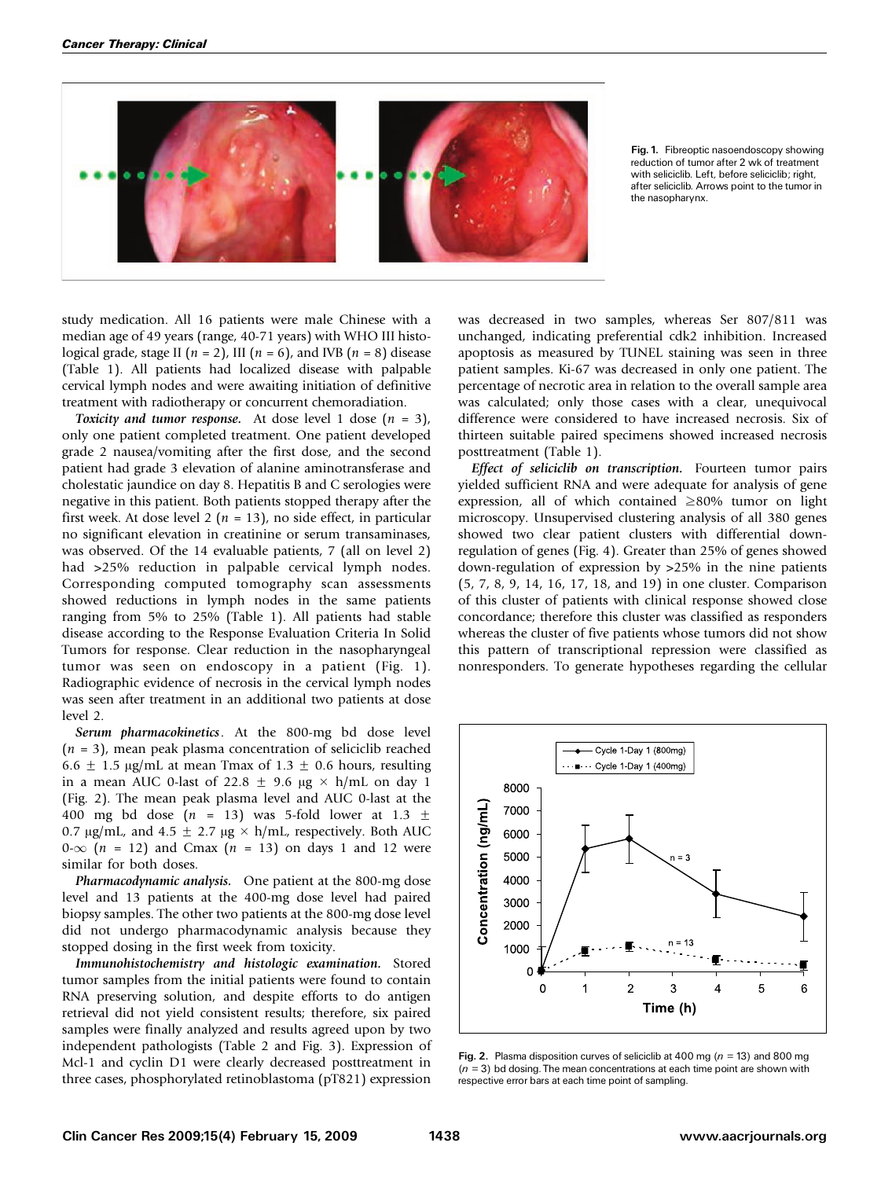

Fig. 1. Fibreoptic nasoendoscopy showing reduction of tumor after 2 wk of treatment with seliciclib. Left, before seliciclib; right, after seliciclib. Arrows point to the tumor in the nasopharynx.

study medication. All 16 patients were male Chinese with a median age of 49 years (range, 40-71 years) with WHO III histological grade, stage II ( $n = 2$ ), III ( $n = 6$ ), and IVB ( $n = 8$ ) disease (Table 1). All patients had localized disease with palpable cervical lymph nodes and were awaiting initiation of definitive treatment with radiotherapy or concurrent chemoradiation.

Toxicity and tumor response. At dose level 1 dose  $(n = 3)$ , only one patient completed treatment. One patient developed grade 2 nausea/vomiting after the first dose, and the second patient had grade 3 elevation of alanine aminotransferase and cholestatic jaundice on day 8. Hepatitis B and C serologies were negative in this patient. Both patients stopped therapy after the first week. At dose level 2 ( $n = 13$ ), no side effect, in particular no significant elevation in creatinine or serum transaminases, was observed. Of the 14 evaluable patients, 7 (all on level 2) had >25% reduction in palpable cervical lymph nodes. Corresponding computed tomography scan assessments showed reductions in lymph nodes in the same patients ranging from 5% to 25% (Table 1). All patients had stable disease according to the Response Evaluation Criteria In Solid Tumors for response. Clear reduction in the nasopharyngeal tumor was seen on endoscopy in a patient (Fig. 1). Radiographic evidence of necrosis in the cervical lymph nodes was seen after treatment in an additional two patients at dose level 2.

Serum pharmacokinetics. At the 800-mg bd dose level  $(n = 3)$ , mean peak plasma concentration of seliciclib reached 6.6  $\pm$  1.5  $\mu$ g/mL at mean Tmax of 1.3  $\pm$  0.6 hours, resulting in a mean AUC 0-last of 22.8  $\pm$  9.6  $\mu$ g  $\times$  h/mL on day 1 (Fig. 2). The mean peak plasma level and AUC 0-last at the 400 mg bd dose ( $n = 13$ ) was 5-fold lower at 1.3  $\pm$ 0.7  $\mu$ g/mL, and 4.5  $\pm$  2.7  $\mu$ g × h/mL, respectively. Both AUC  $0-\infty$  (n = 12) and Cmax (n = 13) on days 1 and 12 were similar for both doses.

Pharmacodynamic analysis. One patient at the 800-mg dose level and 13 patients at the 400-mg dose level had paired biopsy samples. The other two patients at the 800-mg dose level did not undergo pharmacodynamic analysis because they stopped dosing in the first week from toxicity.

Immunohistochemistry and histologic examination. Stored tumor samples from the initial patients were found to contain RNA preserving solution, and despite efforts to do antigen retrieval did not yield consistent results; therefore, six paired samples were finally analyzed and results agreed upon by two independent pathologists (Table 2 and Fig. 3). Expression of Mcl-1 and cyclin D1 were clearly decreased posttreatment in three cases, phosphorylated retinoblastoma (pT821) expression

was decreased in two samples, whereas Ser 807/811 was unchanged, indicating preferential cdk2 inhibition. Increased apoptosis as measured by TUNEL staining was seen in three patient samples. Ki-67 was decreased in only one patient. The percentage of necrotic area in relation to the overall sample area was calculated; only those cases with a clear, unequivocal difference were considered to have increased necrosis. Six of thirteen suitable paired specimens showed increased necrosis posttreatment (Table 1).

Effect of seliciclib on transcription. Fourteen tumor pairs yielded sufficient RNA and were adequate for analysis of gene expression, all of which contained  $\geq 80\%$  tumor on light microscopy. Unsupervised clustering analysis of all 380 genes showed two clear patient clusters with differential downregulation of genes (Fig. 4). Greater than 25% of genes showed down-regulation of expression by >25% in the nine patients (5, 7, 8, 9, 14, 16, 17, 18, and 19) in one cluster. Comparison of this cluster of patients with clinical response showed close concordance; therefore this cluster was classified as responders whereas the cluster of five patients whose tumors did not show this pattern of transcriptional repression were classified as nonresponders. To generate hypotheses regarding the cellular



Fig. 2. Plasma disposition curves of seliciclib at 400 mg ( $n = 13$ ) and 800 mg  $(n = 3)$  bd dosing. The mean concentrations at each time point are shown with respective error bars at each time point of sampling.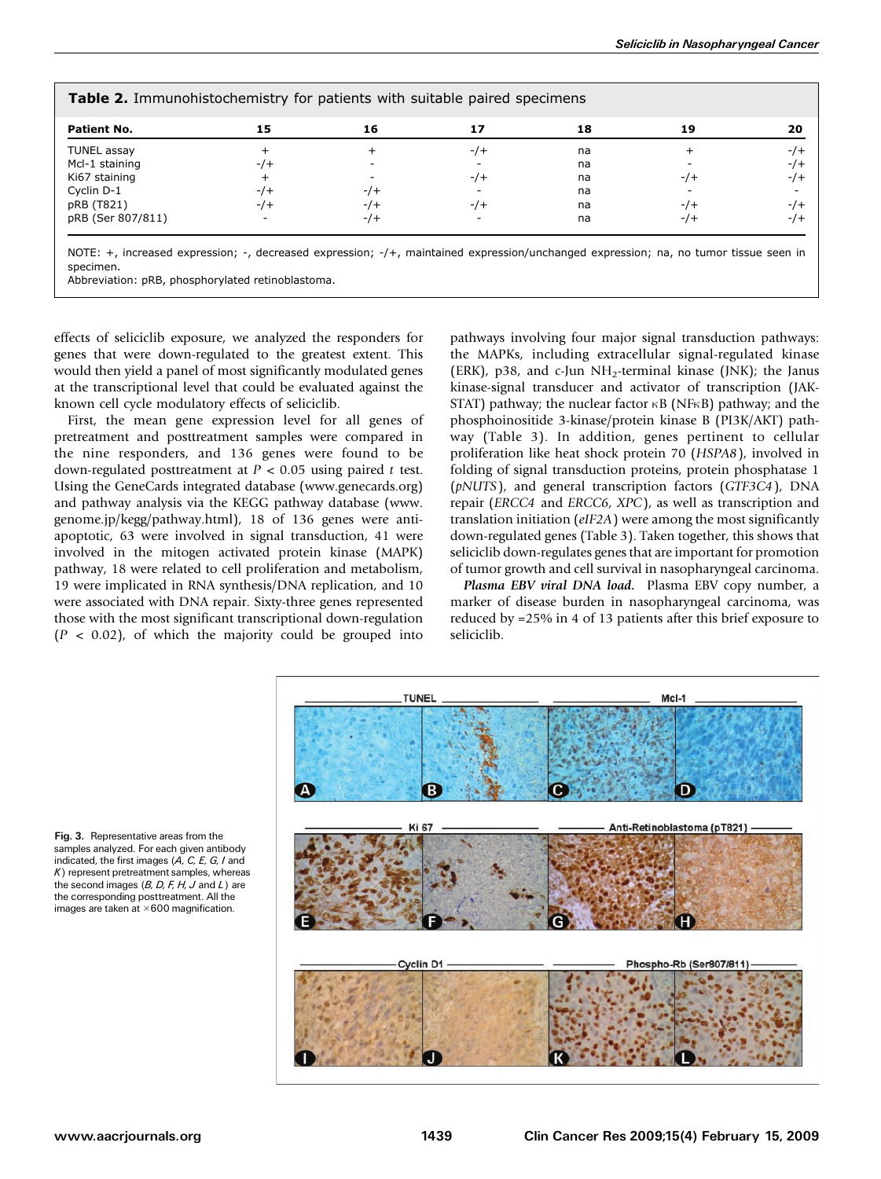| <b>Patient No.</b> | 15   | 16     | 17    | 18 | 19    | 20   |
|--------------------|------|--------|-------|----|-------|------|
| TUNEL assay        |      |        | $-/-$ | na |       | $-7$ |
| Mcl-1 staining     | $-7$ |        |       | na |       | $-7$ |
| Ki67 staining      |      |        | $-7$  | na | $-/-$ | $-7$ |
| Cyclin D-1         | $-1$ | $-$ /+ |       | na |       |      |
| pRB (T821)         | $-7$ | $-7+$  | $-7+$ | na | $-7$  | $-7$ |
| pRB (Ser 807/811)  |      | -/+    |       | na | $-7$  | $-7$ |

NOTE: +, increased expression; -, decreased expression; -/+, maintained expression/unchanged expression; na, no tumor tissue seen in specimen.

Abbreviation: pRB, phosphorylated retinoblastoma.

effects of seliciclib exposure, we analyzed the responders for genes that were down-regulated to the greatest extent. This would then yield a panel of most significantly modulated genes at the transcriptional level that could be evaluated against the known cell cycle modulatory effects of seliciclib.

First, the mean gene expression level for all genes of pretreatment and posttreatment samples were compared in the nine responders, and 136 genes were found to be down-regulated posttreatment at  $P < 0.05$  using paired t test. Using the GeneCards integrated database (www.genecards.org) and pathway analysis via the KEGG pathway database (www. genome.jp/kegg/pathway.html), 18 of 136 genes were antiapoptotic, 63 were involved in signal transduction, 41 were involved in the mitogen activated protein kinase (MAPK) pathway, 18 were related to cell proliferation and metabolism, 19 were implicated in RNA synthesis/DNA replication, and 10 were associated with DNA repair. Sixty-three genes represented those with the most significant transcriptional down-regulation  $(P < 0.02)$ , of which the majority could be grouped into pathways involving four major signal transduction pathways: the MAPKs, including extracellular signal-regulated kinase (ERK), p38, and c-Jun  $NH<sub>2</sub>$ -terminal kinase (JNK); the Janus kinase-signal transducer and activator of transcription (JAK-STAT) pathway; the nuclear factor  $\kappa$ B (NF $\kappa$ B) pathway; and the phosphoinositide 3-kinase/protein kinase B (PI3K/AKT) pathway (Table 3). In addition, genes pertinent to cellular proliferation like heat shock protein 70 (HSPA8), involved in folding of signal transduction proteins, protein phosphatase 1 (pNUTS), and general transcription factors (GTF3C4), DNA repair (ERCC4 and ERCC6, XPC), as well as transcription and translation initiation (eIF2A) were among the most significantly down-regulated genes (Table 3). Taken together, this shows that seliciclib down-regulates genes that are important for promotion of tumor growth and cell survival in nasopharyngeal carcinoma.

Plasma EBV viral DNA load. Plasma EBV copy number, a marker of disease burden in nasopharyngeal carcinoma, was reduced by =25% in 4 of 13 patients after this brief exposure to seliciclib.



Fig. 3. Representative areas from the samples analyzed. For each given antibody indicated, the first images  $(A, C, E, G, I)$  and  $K$ ) represent pretreatment samples, whereas the second images  $(B, D, F, H, J$  and  $L$ ) are the corresponding posttreatment. All the images are taken at  $\times$  600 magnification.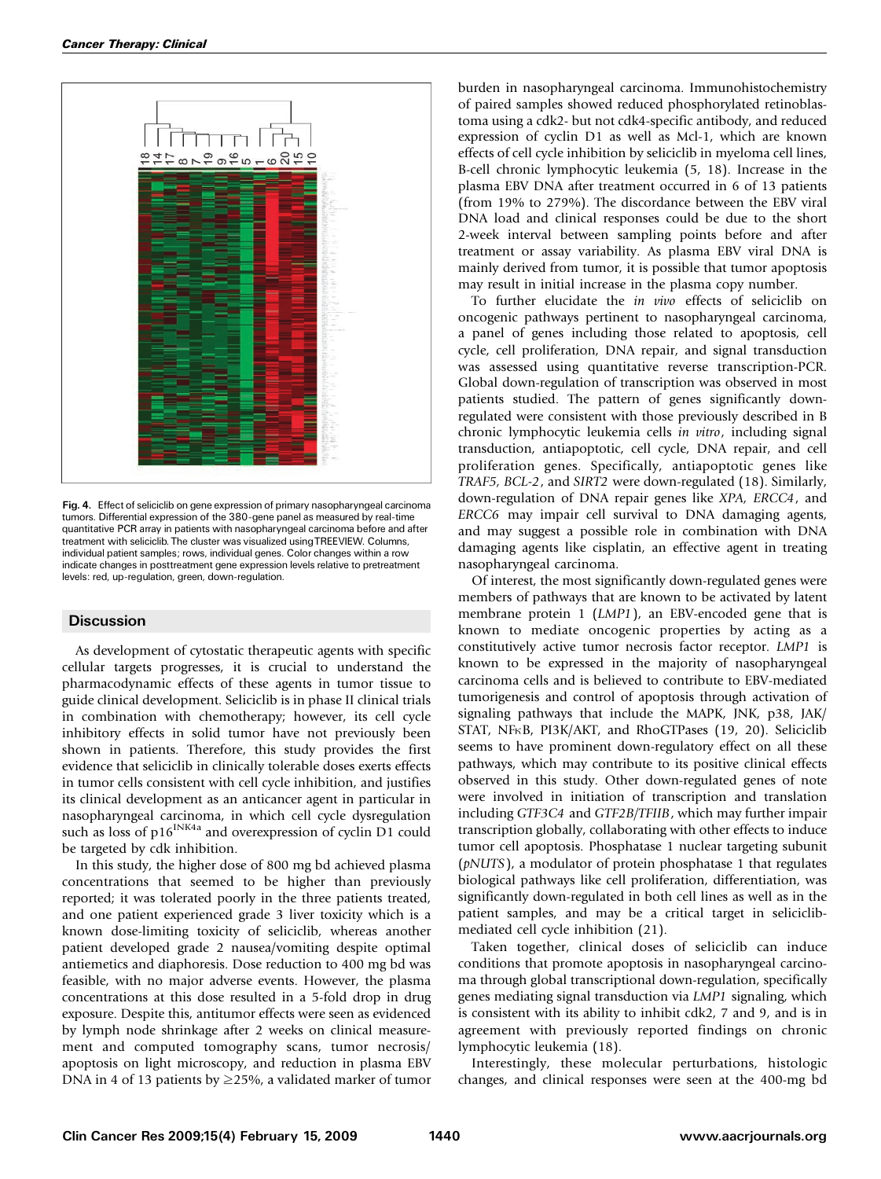

Fig. 4. Effect of seliciclib on gene expression of primary nasopharyngeal carcinoma tumors. Differential expression of the 380-gene panel as measured by real-time quantitative PCR array in patients with nasopharyngeal carcinoma before and after treatment with seliciclib. The cluster was visualized usingTREEVIEW. Columns, individual patient samples; rows, individual genes. Color changes within a row indicate changes in posttreatment gene expression levels relative to pretreatment levels: red, up-regulation, green, down-regulation.

## **Discussion**

As development of cytostatic therapeutic agents with specific cellular targets progresses, it is crucial to understand the pharmacodynamic effects of these agents in tumor tissue to guide clinical development. Seliciclib is in phase II clinical trials in combination with chemotherapy; however, its cell cycle inhibitory effects in solid tumor have not previously been shown in patients. Therefore, this study provides the first evidence that seliciclib in clinically tolerable doses exerts effects in tumor cells consistent with cell cycle inhibition, and justifies its clinical development as an anticancer agent in particular in nasopharyngeal carcinoma, in which cell cycle dysregulation such as loss of p16<sup>INK4a</sup> and overexpression of cyclin D1 could be targeted by cdk inhibition.

In this study, the higher dose of 800 mg bd achieved plasma concentrations that seemed to be higher than previously reported; it was tolerated poorly in the three patients treated, and one patient experienced grade 3 liver toxicity which is a known dose-limiting toxicity of seliciclib, whereas another patient developed grade 2 nausea/vomiting despite optimal antiemetics and diaphoresis. Dose reduction to 400 mg bd was feasible, with no major adverse events. However, the plasma concentrations at this dose resulted in a 5-fold drop in drug exposure. Despite this, antitumor effects were seen as evidenced by lymph node shrinkage after 2 weeks on clinical measurement and computed tomography scans, tumor necrosis/ apoptosis on light microscopy, and reduction in plasma EBV DNA in 4 of 13 patients by  $\geq$  25%, a validated marker of tumor burden in nasopharyngeal carcinoma. Immunohistochemistry of paired samples showed reduced phosphorylated retinoblastoma using a cdk2- but not cdk4-specific antibody, and reduced expression of cyclin D1 as well as Mcl-1, which are known effects of cell cycle inhibition by seliciclib in myeloma cell lines, B-cell chronic lymphocytic leukemia (5, 18). Increase in the plasma EBV DNA after treatment occurred in 6 of 13 patients (from 19% to 279%). The discordance between the EBV viral DNA load and clinical responses could be due to the short 2-week interval between sampling points before and after treatment or assay variability. As plasma EBV viral DNA is mainly derived from tumor, it is possible that tumor apoptosis may result in initial increase in the plasma copy number.

To further elucidate the in vivo effects of seliciclib on oncogenic pathways pertinent to nasopharyngeal carcinoma, a panel of genes including those related to apoptosis, cell cycle, cell proliferation, DNA repair, and signal transduction was assessed using quantitative reverse transcription-PCR. Global down-regulation of transcription was observed in most patients studied. The pattern of genes significantly downregulated were consistent with those previously described in B chronic lymphocytic leukemia cells in vitro, including signal transduction, antiapoptotic, cell cycle, DNA repair, and cell proliferation genes. Specifically, antiapoptotic genes like TRAF5, BCL-2, and SIRT2 were down-regulated (18). Similarly, down-regulation of DNA repair genes like XPA, ERCC4, and ERCC6 may impair cell survival to DNA damaging agents, and may suggest a possible role in combination with DNA damaging agents like cisplatin, an effective agent in treating nasopharyngeal carcinoma.

Of interest, the most significantly down-regulated genes were members of pathways that are known to be activated by latent membrane protein 1 (LMP1), an EBV-encoded gene that is known to mediate oncogenic properties by acting as a constitutively active tumor necrosis factor receptor. LMP1 is known to be expressed in the majority of nasopharyngeal carcinoma cells and is believed to contribute to EBV-mediated tumorigenesis and control of apoptosis through activation of signaling pathways that include the MAPK, JNK, p38, JAK/ STAT, NFKB, PI3K/AKT, and RhoGTPases (19, 20). Seliciclib seems to have prominent down-regulatory effect on all these pathways, which may contribute to its positive clinical effects observed in this study. Other down-regulated genes of note were involved in initiation of transcription and translation including GTF3C4 and GTF2B/TFIIB, which may further impair transcription globally, collaborating with other effects to induce tumor cell apoptosis. Phosphatase 1 nuclear targeting subunit (pNUTS), a modulator of protein phosphatase 1 that regulates biological pathways like cell proliferation, differentiation, was significantly down-regulated in both cell lines as well as in the patient samples, and may be a critical target in seliciclibmediated cell cycle inhibition (21).

Taken together, clinical doses of seliciclib can induce conditions that promote apoptosis in nasopharyngeal carcinoma through global transcriptional down-regulation, specifically genes mediating signal transduction via LMP1 signaling, which is consistent with its ability to inhibit cdk2, 7 and 9, and is in agreement with previously reported findings on chronic lymphocytic leukemia (18).

Interestingly, these molecular perturbations, histologic changes, and clinical responses were seen at the 400-mg bd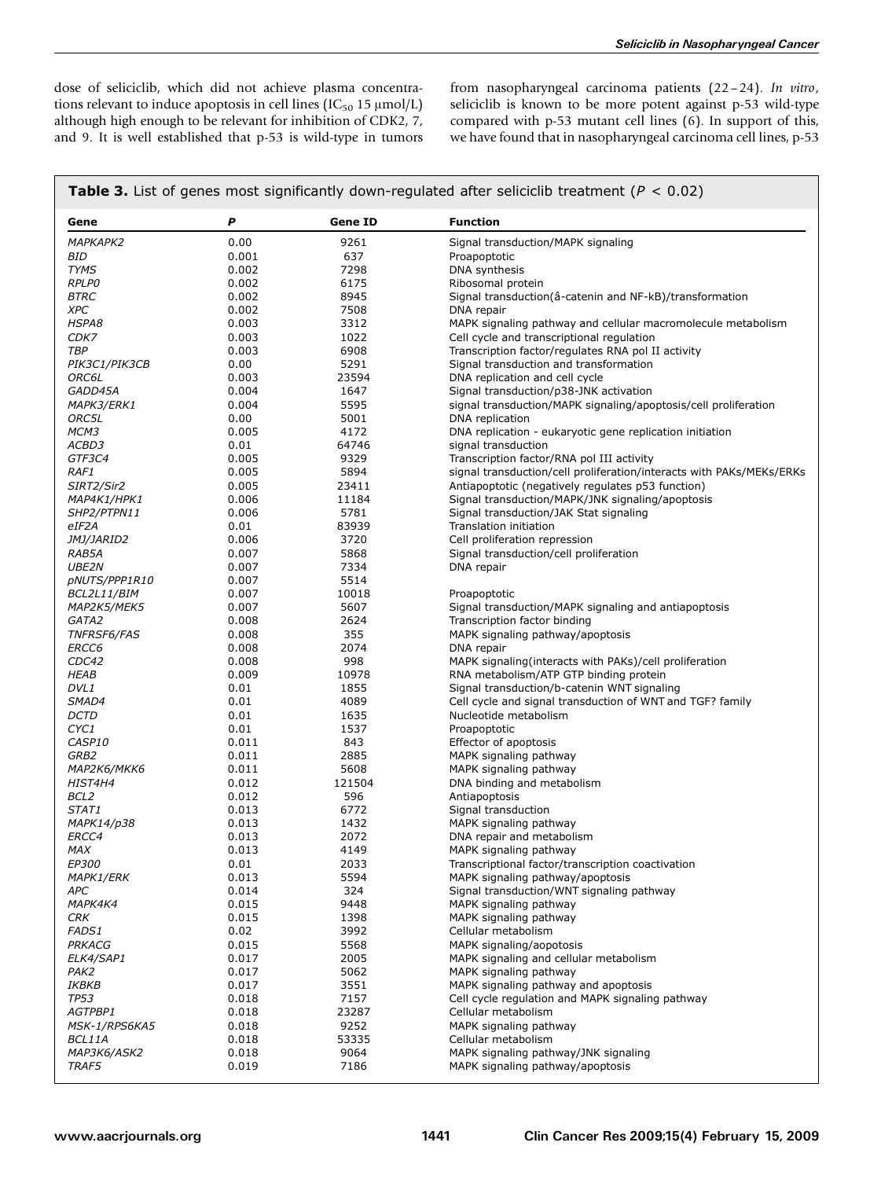dose of seliciclib, which did not achieve plasma concentrations relevant to induce apoptosis in cell lines (IC $_{50}$  15  $\mu$ mol/L) although high enough to be relevant for inhibition of CDK2, 7, and 9. It is well established that p-53 is wild-type in tumors from nasopharyngeal carcinoma patients (22 – 24). In vitro, seliciclib is known to be more potent against p-53 wild-type compared with p-53 mutant cell lines (6). In support of this, we have found that in nasopharyngeal carcinoma cell lines, p-53

| Gene                 | P     | <b>Gene ID</b> | <b>Function</b>                                                      |
|----------------------|-------|----------------|----------------------------------------------------------------------|
| <b>MAPKAPK2</b>      | 0.00  | 9261           | Signal transduction/MAPK signaling                                   |
| BID                  | 0.001 | 637            | Proapoptotic                                                         |
| <b>TYMS</b>          | 0.002 | 7298           | DNA synthesis                                                        |
| <b>RPLPO</b>         | 0.002 | 6175           | Ribosomal protein                                                    |
| <b>BTRC</b>          | 0.002 | 8945           | Signal transduction (â-catenin and NF-kB)/transformation             |
| <b>XPC</b>           | 0.002 | 7508           | DNA repair                                                           |
| HSPA8                | 0.003 | 3312           | MAPK signaling pathway and cellular macromolecule metabolism         |
| CDK7                 | 0.003 | 1022           | Cell cycle and transcriptional regulation                            |
| <b>TBP</b>           | 0.003 | 6908           | Transcription factor/regulates RNA pol II activity                   |
| <i>PIK3C1/PIK3CB</i> | 0.00  | 5291           | Signal transduction and transformation                               |
| ORC6L                | 0.003 | 23594          | DNA replication and cell cycle                                       |
| GADD45A              | 0.004 | 1647           | Signal transduction/p38-JNK activation                               |
| MAPK3/ERK1           | 0.004 | 5595           | signal transduction/MAPK signaling/apoptosis/cell proliferation      |
| ORC5L                | 0.00  | 5001           | DNA replication                                                      |
| МСМЗ                 | 0.005 | 4172           | DNA replication - eukaryotic gene replication initiation             |
| ACBD3                | 0.01  | 64746          | signal transduction                                                  |
| GTF3C4               | 0.005 | 9329           | Transcription factor/RNA pol III activity                            |
| RAF1                 | 0.005 | 5894           | signal transduction/cell proliferation/interacts with PAKs/MEKs/ERKs |
| SIRT2/Sir2           | 0.005 | 23411          | Antiapoptotic (negatively regulates p53 function)                    |
| MAP4K1/HPK1          | 0.006 | 11184          | Signal transduction/MAPK/JNK signaling/apoptosis                     |
| SHP2/PTPN11          | 0.006 | 5781           | Signal transduction/JAK Stat signaling                               |
| eIF2A                | 0.01  | 83939          | Translation initiation                                               |
| JMJ/JARID2           | 0.006 | 3720           | Cell proliferation repression                                        |
| RAB5A                | 0.007 | 5868           | Signal transduction/cell proliferation                               |
| <b>UBE2N</b>         | 0.007 | 7334           | DNA repair                                                           |
| pNUTS/PPP1R10        | 0.007 | 5514           |                                                                      |
| BCL2L11/BIM          | 0.007 | 10018          | Proapoptotic                                                         |
| MAP2K5/MEK5          | 0.007 | 5607           | Signal transduction/MAPK signaling and antiapoptosis                 |
| GATA2                | 0.008 | 2624           | Transcription factor binding                                         |
| <b>TNFRSF6/FAS</b>   | 0.008 | 355            | MAPK signaling pathway/apoptosis                                     |
| ERCC6                | 0.008 | 2074           | DNA repair                                                           |
| CDC42                | 0.008 | 998            | MAPK signaling (interacts with PAKs)/cell proliferation              |
| <b>HEAB</b>          | 0.009 | 10978          | RNA metabolism/ATP GTP binding protein                               |
| DVL1                 | 0.01  | 1855           | Signal transduction/b-catenin WNT signaling                          |
| SMAD4                | 0.01  | 4089           | Cell cycle and signal transduction of WNT and TGF? family            |
| <b>DCTD</b>          | 0.01  | 1635           | Nucleotide metabolism                                                |
| CYC1                 | 0.01  | 1537           | Proapoptotic                                                         |
| CASP10               | 0.011 | 843            | Effector of apoptosis                                                |
| GRB2                 | 0.011 | 2885           | MAPK signaling pathway                                               |
| МАР2К6/МКК6          | 0.011 | 5608           | MAPK signaling pathway                                               |
| HIST4H4              | 0.012 | 121504         | DNA binding and metabolism                                           |
| BCL <sub>2</sub>     | 0.012 | 596            | Antiapoptosis                                                        |
| STAT1                | 0.013 | 6772           | Signal transduction                                                  |
| MAPK14/p38           | 0.013 | 1432           | MAPK signaling pathway                                               |
| ERCC4                | 0.013 | 2072           | DNA repair and metabolism                                            |
| <b>MAX</b>           | 0.013 | 4149           | MAPK signaling pathway                                               |
| EP300                | 0.01  | 2033           | Transcriptional factor/transcription coactivation                    |
| <i>MAPK1/ERK</i>     | 0.013 | 5594           | MAPK signaling pathway/apoptosis                                     |
| APC                  | 0.014 | 324            | Signal transduction/WNT signaling pathway                            |
| MAPK4K4              | 0.015 | 9448           | MAPK signaling pathway                                               |
| CRK                  | 0.015 | 1398           | MAPK signaling pathway                                               |
| <b>FADS1</b>         | 0.02  | 3992           | Cellular metabolism                                                  |
| PRKACG               | 0.015 | 5568           | MAPK signaling/aopotosis                                             |
| ELK4/SAP1            | 0.017 | 2005           | MAPK signaling and cellular metabolism                               |
| PAK2                 | 0.017 | 5062           | MAPK signaling pathway                                               |
| IKBKB                | 0.017 | 3551           | MAPK signaling pathway and apoptosis                                 |
| <b>TP53</b>          | 0.018 | 7157           | Cell cycle regulation and MAPK signaling pathway                     |
| AGTPBP1              | 0.018 | 23287          | Cellular metabolism                                                  |
| MSK-1/RPS6KA5        | 0.018 | 9252           | MAPK signaling pathway                                               |
| BCL11A               | 0.018 | 53335          | Cellular metabolism                                                  |
| MAP3K6/ASK2          | 0.018 | 9064           | MAPK signaling pathway/JNK signaling                                 |
| TRAF5                | 0.019 | 7186           | MAPK signaling pathway/apoptosis                                     |